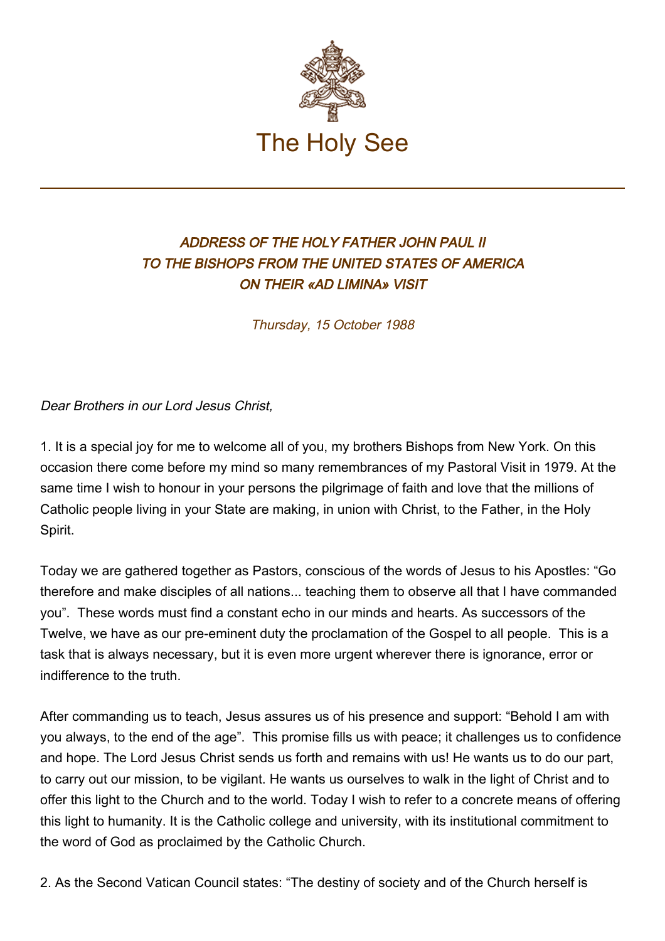

## ADDRESS OF THE HOLY FATHER JOHN PAUL II TO THE BISHOPS FROM THE UNITED STATES OF AMERICA ON THEIR «AD LIMINA» VISIT

Thursday, 15 October 1988

Dear Brothers in our Lord Jesus Christ,

1. It is a special joy for me to welcome all of you, my brothers Bishops from New York. On this occasion there come before my mind so many remembrances of my Pastoral Visit in 1979. At the same time I wish to honour in your persons the pilgrimage of faith and love that the millions of Catholic people living in your State are making, in union with Christ, to the Father, in the Holy Spirit.

Today we are gathered together as Pastors, conscious of the words of Jesus to his Apostles: "Go therefore and make disciples of all nations... teaching them to observe all that I have commanded you". These words must find a constant echo in our minds and hearts. As successors of the Twelve, we have as our pre-eminent duty the proclamation of the Gospel to all people. This is a task that is always necessary, but it is even more urgent wherever there is ignorance, error or indifference to the truth.

After commanding us to teach, Jesus assures us of his presence and support: "Behold I am with you always, to the end of the age". This promise fills us with peace; it challenges us to confidence and hope. The Lord Jesus Christ sends us forth and remains with us! He wants us to do our part, to carry out our mission, to be vigilant. He wants us ourselves to walk in the light of Christ and to offer this light to the Church and to the world. Today I wish to refer to a concrete means of offering this light to humanity. It is the Catholic college and university, with its institutional commitment to the word of God as proclaimed by the Catholic Church.

2. As the Second Vatican Council states: "The destiny of society and of the Church herself is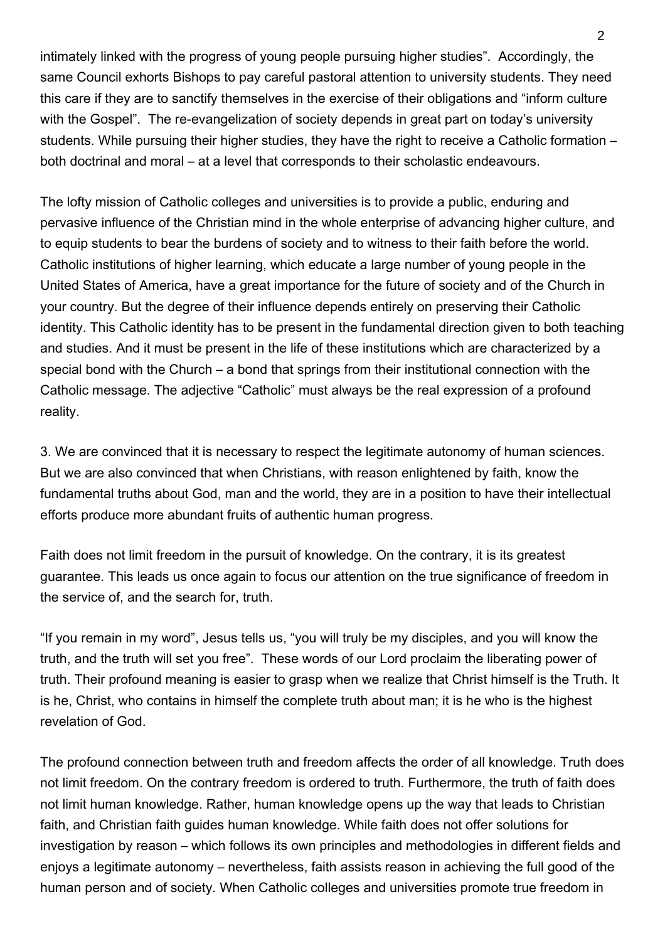intimately linked with the progress of young people pursuing higher studies". Accordingly, the same Council exhorts Bishops to pay careful pastoral attention to university students. They need this care if they are to sanctify themselves in the exercise of their obligations and "inform culture with the Gospel". The re-evangelization of society depends in great part on today's university students. While pursuing their higher studies, they have the right to receive a Catholic formation – both doctrinal and moral – at a level that corresponds to their scholastic endeavours.

The lofty mission of Catholic colleges and universities is to provide a public, enduring and pervasive influence of the Christian mind in the whole enterprise of advancing higher culture, and to equip students to bear the burdens of society and to witness to their faith before the world. Catholic institutions of higher learning, which educate a large number of young people in the United States of America, have a great importance for the future of society and of the Church in your country. But the degree of their influence depends entirely on preserving their Catholic identity. This Catholic identity has to be present in the fundamental direction given to both teaching and studies. And it must be present in the life of these institutions which are characterized by a special bond with the Church – a bond that springs from their institutional connection with the Catholic message. The adjective "Catholic" must always be the real expression of a profound reality.

3. We are convinced that it is necessary to respect the legitimate autonomy of human sciences. But we are also convinced that when Christians, with reason enlightened by faith, know the fundamental truths about God, man and the world, they are in a position to have their intellectual efforts produce more abundant fruits of authentic human progress.

Faith does not limit freedom in the pursuit of knowledge. On the contrary, it is its greatest guarantee. This leads us once again to focus our attention on the true significance of freedom in the service of, and the search for, truth.

"If you remain in my word", Jesus tells us, "you will truly be my disciples, and you will know the truth, and the truth will set you free". These words of our Lord proclaim the liberating power of truth. Their profound meaning is easier to grasp when we realize that Christ himself is the Truth. It is he, Christ, who contains in himself the complete truth about man; it is he who is the highest revelation of God.

The profound connection between truth and freedom affects the order of all knowledge. Truth does not limit freedom. On the contrary freedom is ordered to truth. Furthermore, the truth of faith does not limit human knowledge. Rather, human knowledge opens up the way that leads to Christian faith, and Christian faith guides human knowledge. While faith does not offer solutions for investigation by reason – which follows its own principles and methodologies in different fields and enjoys a legitimate autonomy – nevertheless, faith assists reason in achieving the full good of the human person and of society. When Catholic colleges and universities promote true freedom in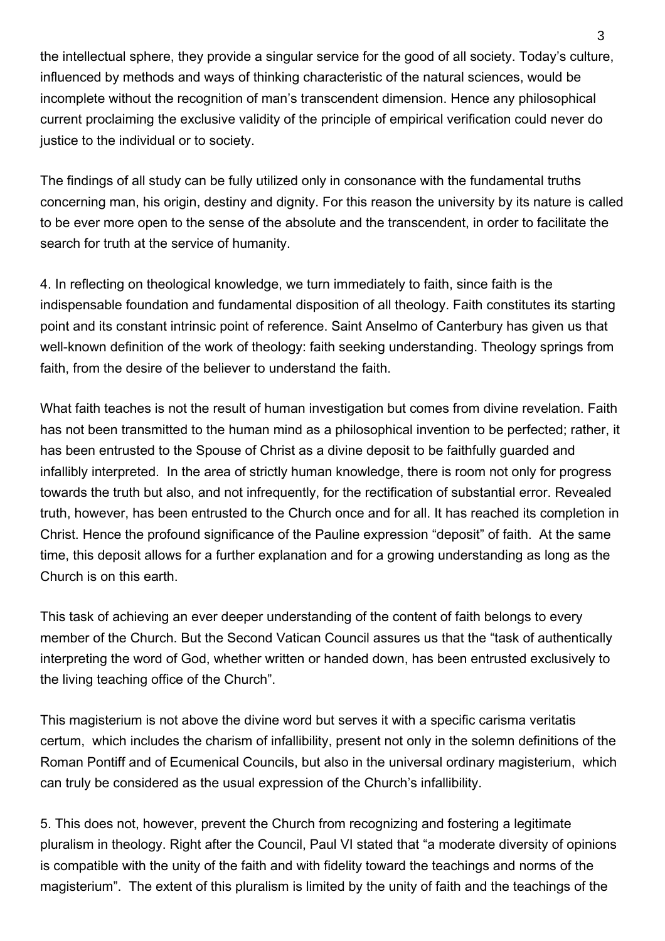the intellectual sphere, they provide a singular service for the good of all society. Today's culture, influenced by methods and ways of thinking characteristic of the natural sciences, would be incomplete without the recognition of man's transcendent dimension. Hence any philosophical current proclaiming the exclusive validity of the principle of empirical verification could never do justice to the individual or to society.

The findings of all study can be fully utilized only in consonance with the fundamental truths concerning man, his origin, destiny and dignity. For this reason the university by its nature is called to be ever more open to the sense of the absolute and the transcendent, in order to facilitate the search for truth at the service of humanity.

4. In reflecting on theological knowledge, we turn immediately to faith, since faith is the indispensable foundation and fundamental disposition of all theology. Faith constitutes its starting point and its constant intrinsic point of reference. Saint Anselmo of Canterbury has given us that well-known definition of the work of theology: faith seeking understanding. Theology springs from faith, from the desire of the believer to understand the faith.

What faith teaches is not the result of human investigation but comes from divine revelation. Faith has not been transmitted to the human mind as a philosophical invention to be perfected; rather, it has been entrusted to the Spouse of Christ as a divine deposit to be faithfully guarded and infallibly interpreted. In the area of strictly human knowledge, there is room not only for progress towards the truth but also, and not infrequently, for the rectification of substantial error. Revealed truth, however, has been entrusted to the Church once and for all. It has reached its completion in Christ. Hence the profound significance of the Pauline expression "deposit" of faith. At the same time, this deposit allows for a further explanation and for a growing understanding as long as the Church is on this earth.

This task of achieving an ever deeper understanding of the content of faith belongs to every member of the Church. But the Second Vatican Council assures us that the "task of authentically interpreting the word of God, whether written or handed down, has been entrusted exclusively to the living teaching office of the Church".

This magisterium is not above the divine word but serves it with a specific carisma veritatis certum, which includes the charism of infallibility, present not only in the solemn definitions of the Roman Pontiff and of Ecumenical Councils, but also in the universal ordinary magisterium, which can truly be considered as the usual expression of the Church's infallibility.

5. This does not, however, prevent the Church from recognizing and fostering a legitimate pluralism in theology. Right after the Council, Paul VI stated that "a moderate diversity of opinions is compatible with the unity of the faith and with fidelity toward the teachings and norms of the magisterium". The extent of this pluralism is limited by the unity of faith and the teachings of the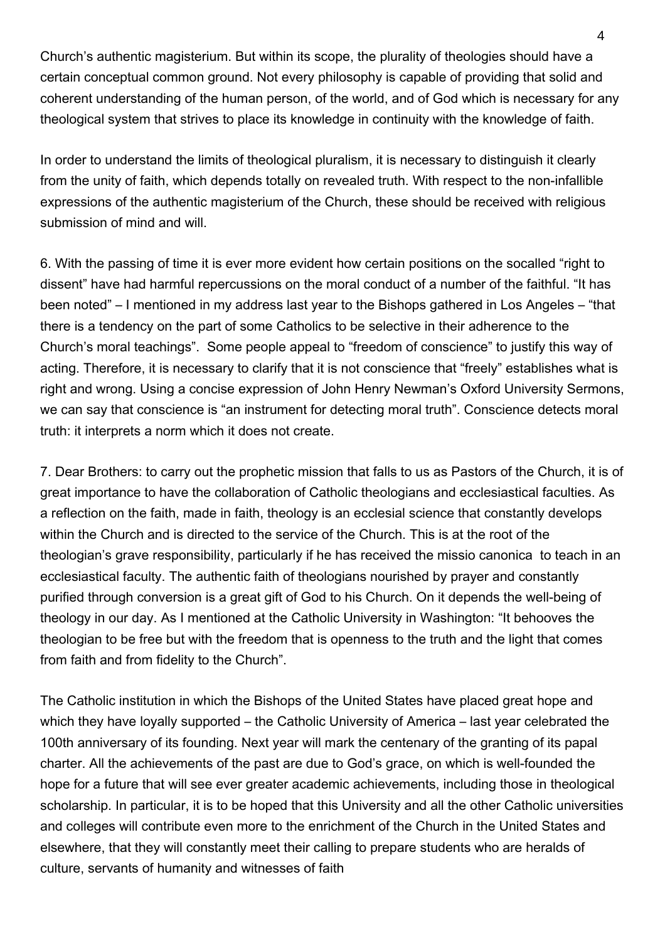Church's authentic magisterium. But within its scope, the plurality of theologies should have a certain conceptual common ground. Not every philosophy is capable of providing that solid and coherent understanding of the human person, of the world, and of God which is necessary for any theological system that strives to place its knowledge in continuity with the knowledge of faith.

In order to understand the limits of theological pluralism, it is necessary to distinguish it clearly from the unity of faith, which depends totally on revealed truth. With respect to the non-infallible expressions of the authentic magisterium of the Church, these should be received with religious submission of mind and will.

6. With the passing of time it is ever more evident how certain positions on the socalled "right to dissent" have had harmful repercussions on the moral conduct of a number of the faithful. "It has been noted" – I mentioned in my address last year to the Bishops gathered in Los Angeles – "that there is a tendency on the part of some Catholics to be selective in their adherence to the Church's moral teachings". Some people appeal to "freedom of conscience" to justify this way of acting. Therefore, it is necessary to clarify that it is not conscience that "freely" establishes what is right and wrong. Using a concise expression of John Henry Newman's Oxford University Sermons, we can say that conscience is "an instrument for detecting moral truth". Conscience detects moral truth: it interprets a norm which it does not create.

7. Dear Brothers: to carry out the prophetic mission that falls to us as Pastors of the Church, it is of great importance to have the collaboration of Catholic theologians and ecclesiastical faculties. As a reflection on the faith, made in faith, theology is an ecclesial science that constantly develops within the Church and is directed to the service of the Church. This is at the root of the theologian's grave responsibility, particularly if he has received the missio canonica to teach in an ecclesiastical faculty. The authentic faith of theologians nourished by prayer and constantly purified through conversion is a great gift of God to his Church. On it depends the well-being of theology in our day. As I mentioned at the Catholic University in Washington: "It behooves the theologian to be free but with the freedom that is openness to the truth and the light that comes from faith and from fidelity to the Church".

The Catholic institution in which the Bishops of the United States have placed great hope and which they have loyally supported – the Catholic University of America – last year celebrated the 100th anniversary of its founding. Next year will mark the centenary of the granting of its papal charter. All the achievements of the past are due to God's grace, on which is well-founded the hope for a future that will see ever greater academic achievements, including those in theological scholarship. In particular, it is to be hoped that this University and all the other Catholic universities and colleges will contribute even more to the enrichment of the Church in the United States and elsewhere, that they will constantly meet their calling to prepare students who are heralds of culture, servants of humanity and witnesses of faith